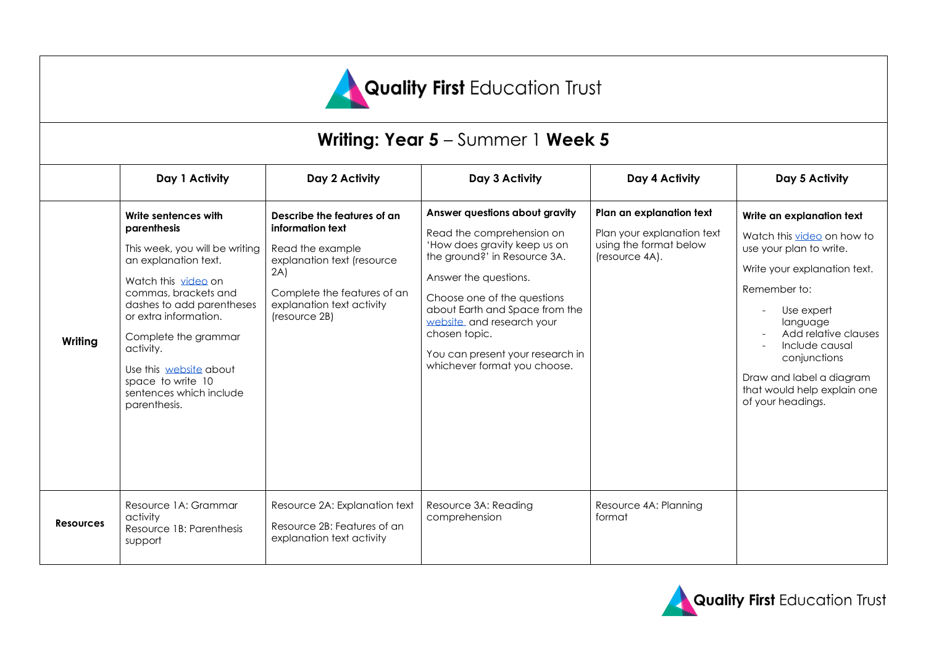

# **Writing: Year 5** – Summer 1 **Week 5**

|                  | Day 1 Activity                                                                                                                                                                                                                                                                                                                    | Day 2 Activity                                                                                                                                                                        | Day 3 Activity                                                                                                                                                                                                                                                                                                                          | Day 4 Activity                                                                                     | Day 5 Activity                                                                                                                                                                                                                                                                                         |
|------------------|-----------------------------------------------------------------------------------------------------------------------------------------------------------------------------------------------------------------------------------------------------------------------------------------------------------------------------------|---------------------------------------------------------------------------------------------------------------------------------------------------------------------------------------|-----------------------------------------------------------------------------------------------------------------------------------------------------------------------------------------------------------------------------------------------------------------------------------------------------------------------------------------|----------------------------------------------------------------------------------------------------|--------------------------------------------------------------------------------------------------------------------------------------------------------------------------------------------------------------------------------------------------------------------------------------------------------|
| Writing          | Write sentences with<br>parenthesis<br>This week, you will be writing<br>an explanation text.<br>Watch this video on<br>commas, brackets and<br>dashes to add parentheses<br>or extra information.<br>Complete the grammar<br>activity.<br>Use this website about<br>space to write 10<br>sentences which include<br>parenthesis. | Describe the features of an<br>information text<br>Read the example<br>explanation text (resource<br>2A)<br>Complete the features of an<br>explanation text activity<br>(resource 2B) | Answer questions about gravity<br>Read the comprehension on<br>'How does gravity keep us on<br>the ground?' in Resource 3A.<br>Answer the questions.<br>Choose one of the questions<br>about Earth and Space from the<br>website and research your<br>chosen topic.<br>You can present your research in<br>whichever format you choose. | Plan an explanation text<br>Plan your explanation text<br>using the format below<br>(resource 4A). | Write an explanation text<br>Watch this video on how to<br>use your plan to write.<br>Write your explanation text.<br>Remember to:<br>Use expert<br>language<br>Add relative clauses<br>Include causal<br>conjunctions<br>Draw and label a diagram<br>that would help explain one<br>of your headings. |
| <b>Resources</b> | Resource 1A: Grammar<br>activity<br>Resource 1B: Parenthesis<br>support                                                                                                                                                                                                                                                           | Resource 2A: Explanation text<br>Resource 2B: Features of an<br>explanation text activity                                                                                             | Resource 3A: Reading<br>comprehension                                                                                                                                                                                                                                                                                                   | Resource 4A: Planning<br>format                                                                    |                                                                                                                                                                                                                                                                                                        |

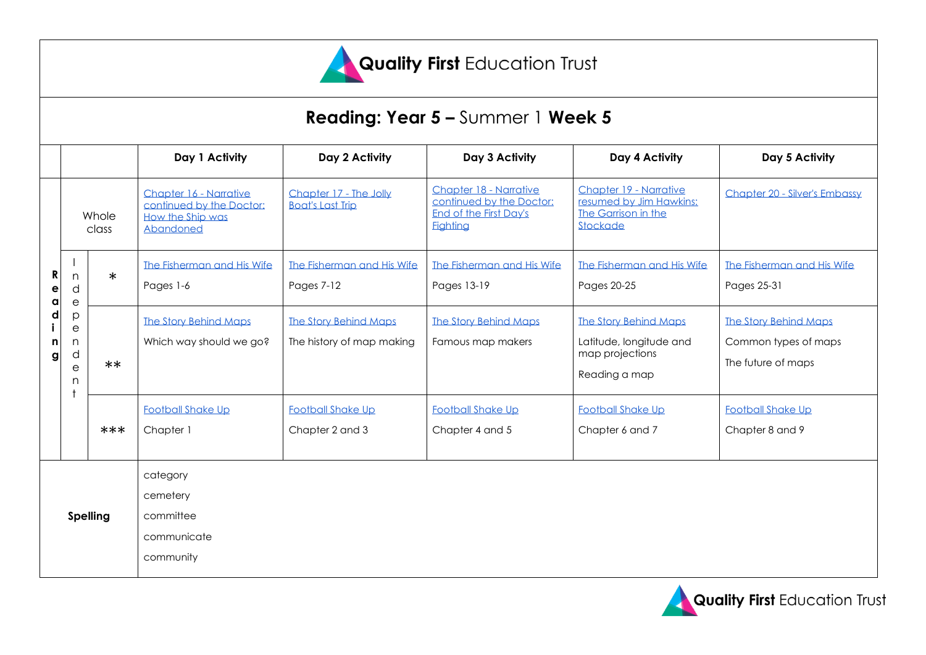

# **Reading: Year 5 –** Summer 1 **Week 5**

|                 |                                                          |        | Day 1 Activity                                                                             | Day 2 Activity                                            | Day 3 Activity                                                                                  | Day 4 Activity                                                                              | Day 5 Activity                                                             |
|-----------------|----------------------------------------------------------|--------|--------------------------------------------------------------------------------------------|-----------------------------------------------------------|-------------------------------------------------------------------------------------------------|---------------------------------------------------------------------------------------------|----------------------------------------------------------------------------|
| a               | Whole<br>class                                           |        | Chapter 16 - Narrative<br>continued by the Doctor:<br>How the Ship was<br><b>Abandoned</b> | Chapter 17 - The Jolly<br><b>Boat's Last Trip</b>         | Chapter 18 - Narrative<br>continued by the Doctor:<br>End of the First Day's<br><b>Fighting</b> | Chapter 19 - Narrative<br>resumed by Jim Hawkins:<br>The Garrison in the<br>Stockade        | Chapter 20 - Silver's Embassy                                              |
|                 | n<br>d<br>$\mathsf{e}$                                   | $\ast$ | The Fisherman and His Wife<br>Pages 1-6                                                    | The Fisherman and His Wife<br>Pages 7-12                  | The Fisherman and His Wife<br>Pages 13-19                                                       | The Fisherman and His Wife<br>Pages 20-25                                                   | The Fisherman and His Wife<br>Pages 25-31                                  |
|                 | p<br>$\mathop{\mathrm{e}}$<br>n<br>d<br>$\mathbf e$<br>n | $***$  | <b>The Story Behind Maps</b><br>Which way should we go?                                    | <b>The Story Behind Maps</b><br>The history of map making | <b>The Story Behind Maps</b><br>Famous map makers                                               | <b>The Story Behind Maps</b><br>Latitude, longitude and<br>map projections<br>Reading a map | <b>The Story Behind Maps</b><br>Common types of maps<br>The future of maps |
|                 |                                                          | ***    | <b>Football Shake Up</b><br>Chapter 1                                                      | <b>Football Shake Up</b><br>Chapter 2 and 3               | <b>Football Shake Up</b><br>Chapter 4 and 5                                                     | <b>Football Shake Up</b><br>Chapter 6 and 7                                                 | <b>Football Shake Up</b><br>Chapter 8 and 9                                |
| <b>Spelling</b> |                                                          |        | category<br>cemetery<br>committee<br>communicate<br>community                              |                                                           |                                                                                                 |                                                                                             |                                                                            |

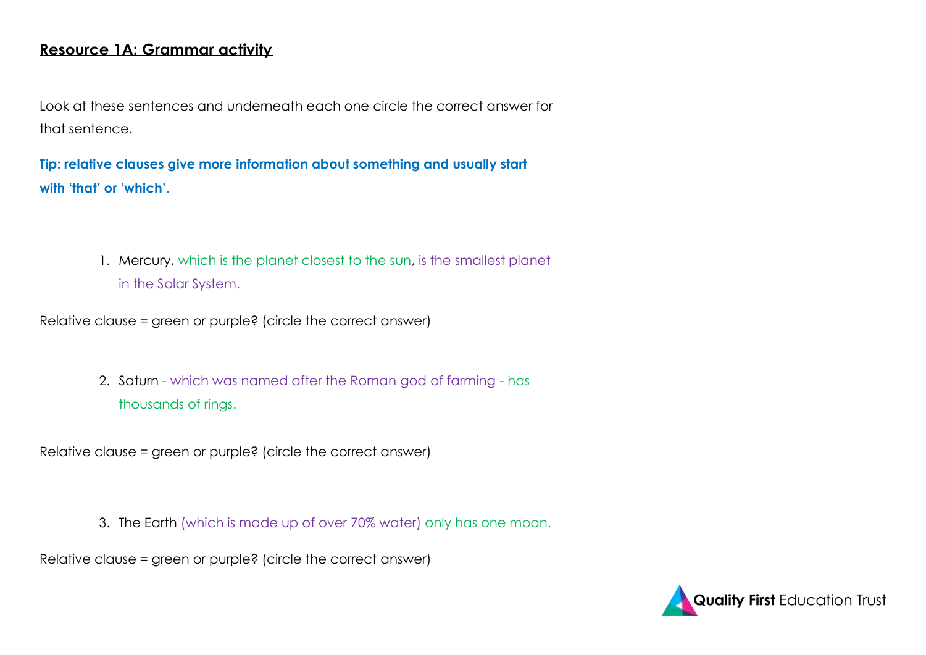### **Resource 1A: Grammar activity**

Look at these sentences and underneath each one circle the correct answer for that sentence.

**Tip: relative clauses give more information about something and usually start with 'that' or 'which'.**

> 1. Mercury, which is the planet closest to the sun, is the smallest planet in the Solar System.

Relative clause = green or purple? (circle the correct answer)

2. Saturn - which was named after the Roman god of farming - has thousands of rings.

Relative clause = green or purple? (circle the correct answer)

3. The Earth (which is made up of over 70% water) only has one moon.

Relative clause = green or purple? (circle the correct answer)

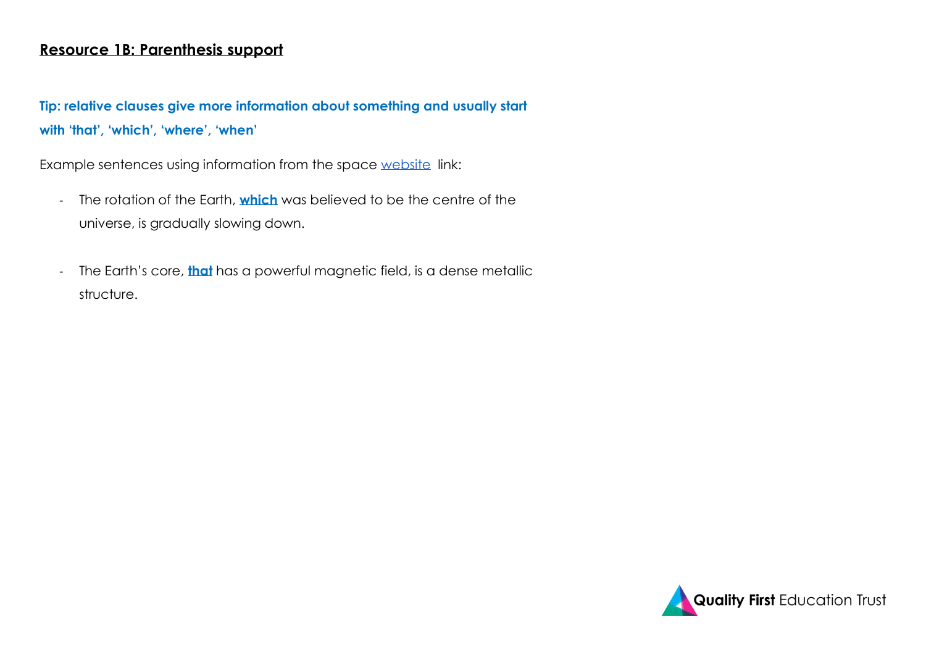### **Resource 1B: Parenthesis support**

**Tip: relative clauses give more information about something and usually start with 'that', 'which', 'where', 'when'** 

Example sentences using information from the space [website](https://space-facts.com/) link:

- The rotation of the Earth, **which** was believed to be the centre of the universe, is gradually slowing down.
- The Earth's core, **that** has a powerful magnetic field, is a dense metallic structure.

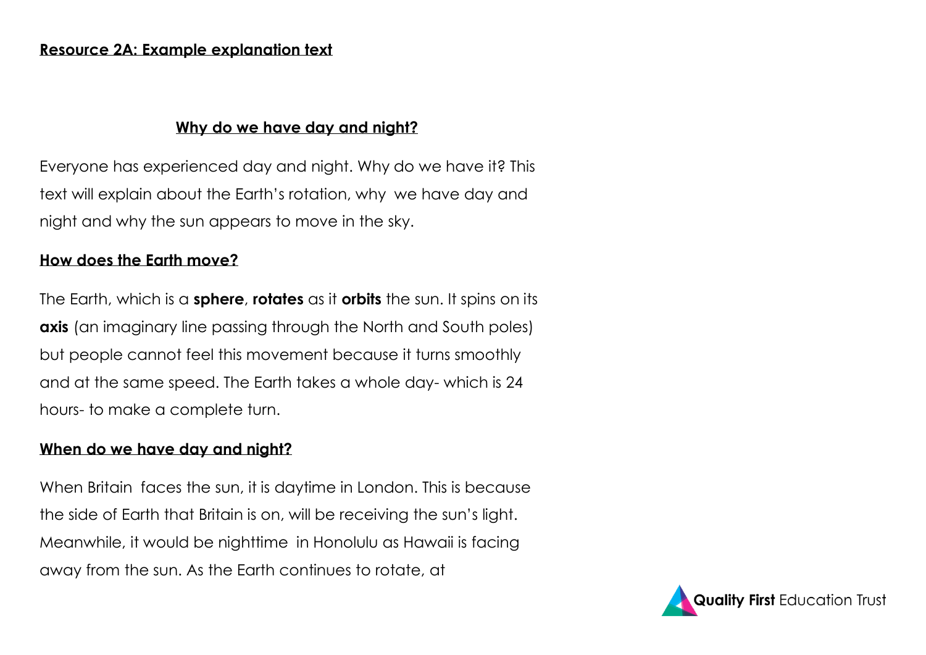## **Why do we have day and night?**

Everyone has experienced day and night. Why do we have it? This text will explain about the Earth's rotation, why we have day and night and why the sun appears to move in the sky.

# **How does the Earth move?**

The Earth, which is a **sphere**, **rotates** as it **orbits** the sun. It spins on its **axis** (an imaginary line passing through the North and South poles) but people cannot feel this movement because it turns smoothly and at the same speed. The Earth takes a whole day- which is 24 hours- to make a complete turn.

# **When do we have day and night?**

When Britain faces the sun, it is daytime in London. This is because the side of Earth that Britain is on, will be receiving the sun's light. Meanwhile, it would be nighttime in Honolulu as Hawaii is facing away from the sun. As the Earth continues to rotate, at

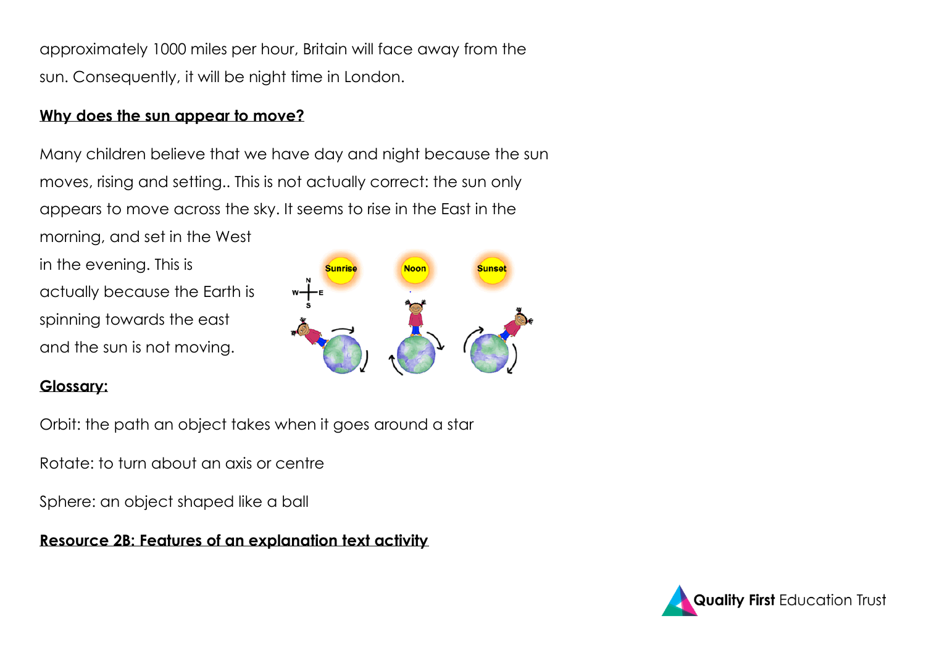approximately 1000 miles per hour, Britain will face away from the sun. Consequently, it will be night time in London.

### **Why does the sun appear to move?**

Many children believe that we have day and night because the sun moves, rising and setting.. This is not actually correct: the sun only appears to move across the sky. It seems to rise in the East in the morning, and set in the West

in the evening. This is actually because the Earth is spinning towards the east and the sun is not moving.



# **Glossary:**

Orbit: the path an object takes when it goes around a star

Rotate: to turn about an axis or centre

Sphere: an object shaped like a ball

# **Resource 2B: Features of an explanation text activity**

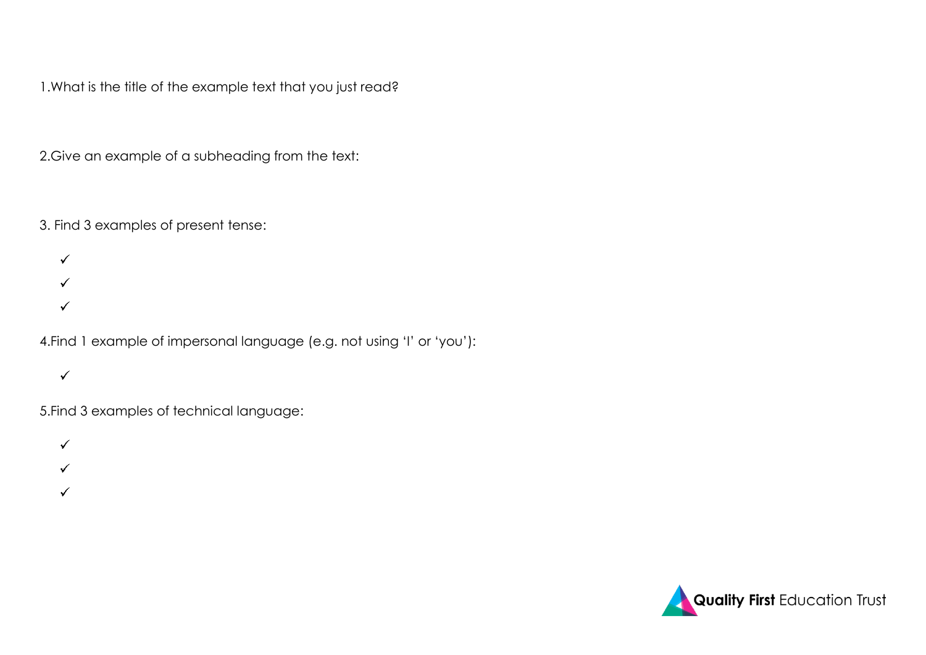1.What is the title of the example text that you just read?

2.Give an example of a subheading from the text:

3. Find 3 examples of present tense:

 $\checkmark$  $\checkmark$  $\checkmark$ 

4.Find 1 example of impersonal language (e.g. not using 'I' or 'you'):

 $\checkmark$ 

5.Find 3 examples of technical language:

 $\checkmark$  $\checkmark$  $\checkmark$ 

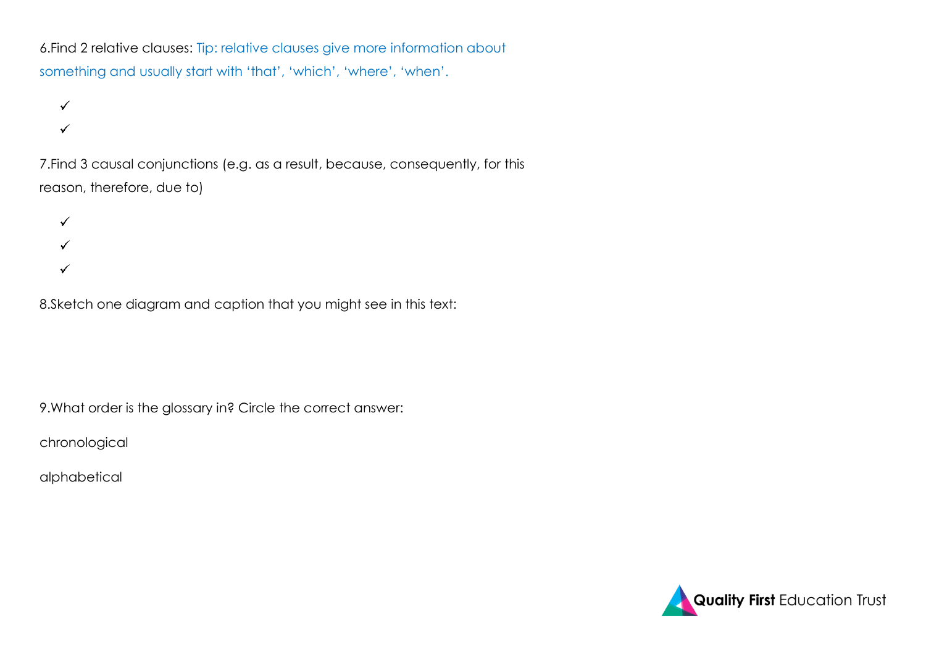6.Find 2 relative clauses: Tip: relative clauses give more information about something and usually start with 'that', 'which', 'where', 'when'.

 $\checkmark$  $\checkmark$ 

7.Find 3 causal conjunctions (e.g. as a result, because, consequently, for this reason, therefore, due to)



8.Sketch one diagram and caption that you might see in this text:

9.What order is the glossary in? Circle the correct answer:

chronological

alphabetical

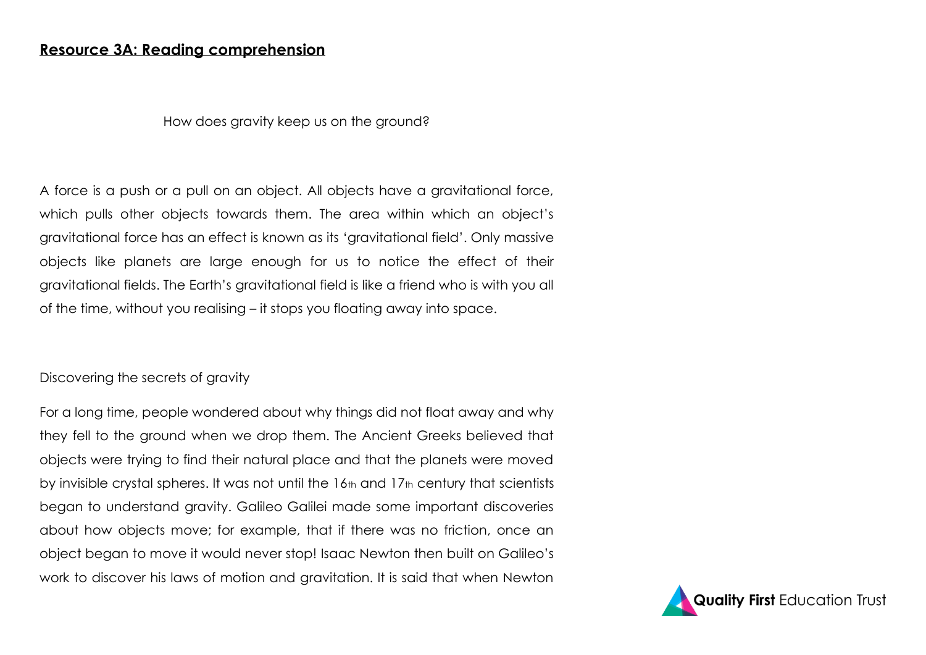### **Resource 3A: Reading comprehension**

#### How does gravity keep us on the ground?

A force is a push or a pull on an object. All objects have a gravitational force, which pulls other objects towards them. The area within which an object's gravitational force has an effect is known as its 'gravitational field'. Only massive objects like planets are large enough for us to notice the effect of their gravitational fields. The Earth's gravitational field is like a friend who is with you all of the time, without you realising – it stops you floating away into space.

#### Discovering the secrets of gravity

For a long time, people wondered about why things did not float away and why they fell to the ground when we drop them. The Ancient Greeks believed that objects were trying to find their natural place and that the planets were moved by invisible crystal spheres. It was not until the 16th and 17th century that scientists began to understand gravity. Galileo Galilei made some important discoveries about how objects move; for example, that if there was no friction, once an object began to move it would never stop! Isaac Newton then built on Galileo's work to discover his laws of motion and gravitation. It is said that when Newton

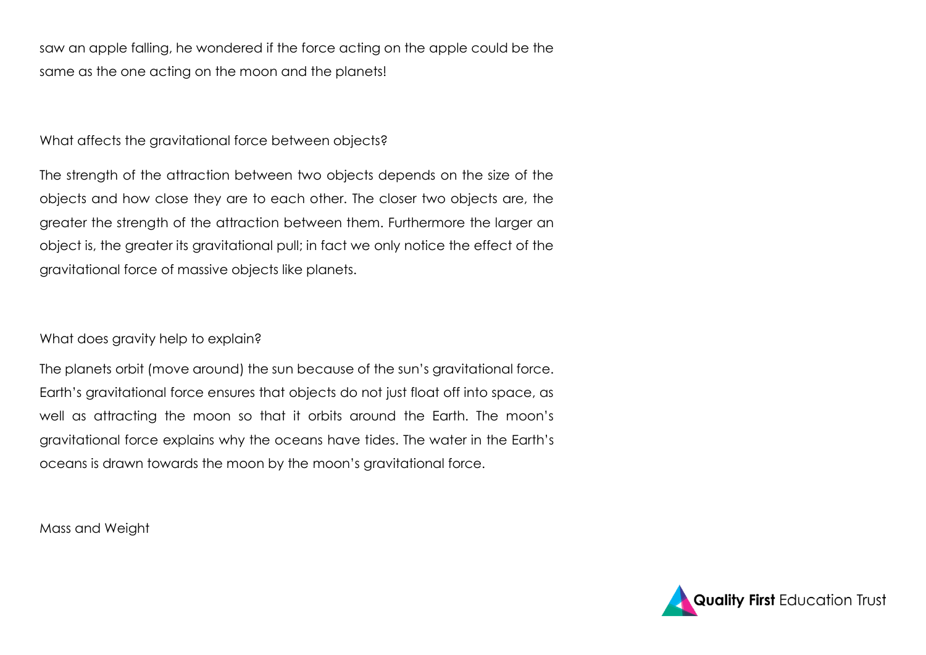saw an apple falling, he wondered if the force acting on the apple could be the same as the one acting on the moon and the planets!

What affects the gravitational force between objects?

The strength of the attraction between two objects depends on the size of the objects and how close they are to each other. The closer two objects are, the greater the strength of the attraction between them. Furthermore the larger an object is, the greater its gravitational pull; in fact we only notice the effect of the gravitational force of massive objects like planets.

What does gravity help to explain?

The planets orbit (move around) the sun because of the sun's gravitational force. Earth's gravitational force ensures that objects do not just float off into space, as well as attracting the moon so that it orbits around the Earth. The moon's gravitational force explains why the oceans have tides. The water in the Earth's oceans is drawn towards the moon by the moon's gravitational force.

Mass and Weight

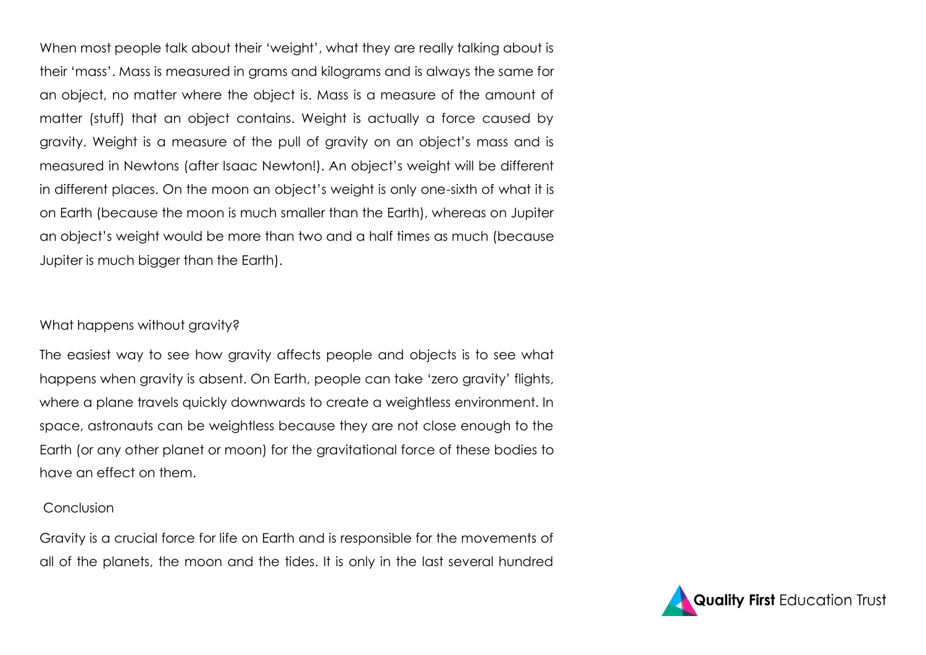When most people talk about their 'weight', what they are really talking about is their 'mass'. Mass is measured in grams and kilograms and is always the same for an object, no matter where the object is. Mass is a measure of the amount of matter (stuff) that an object contains. Weight is actually a force caused by gravity. Weight is a measure of the pull of gravity on an object's mass and is measured in Newtons (after Isaac Newton!). An object's weight will be different in different places. On the moon an object's weight is only one-sixth of what it is on Earth (because the moon is much smaller than the Earth), whereas on Jupiter an object's weight would be more than two and a half times as much (because Jupiter is much bigger than the Earth).

#### What happens without gravity?

The easiest way to see how gravity affects people and objects is to see what happens when gravity is absent. On Earth, people can take 'zero gravity' flights, where a plane travels quickly downwards to create a weightless environment. In space, astronauts can be weightless because they are not close enough to the Earth (or any other planet or moon) for the gravitational force of these bodies to have an effect on them.

### Conclusion

Gravity is a crucial force for life on Earth and is responsible for the movements of all of the planets, the moon and the tides. It is only in the last several hundred

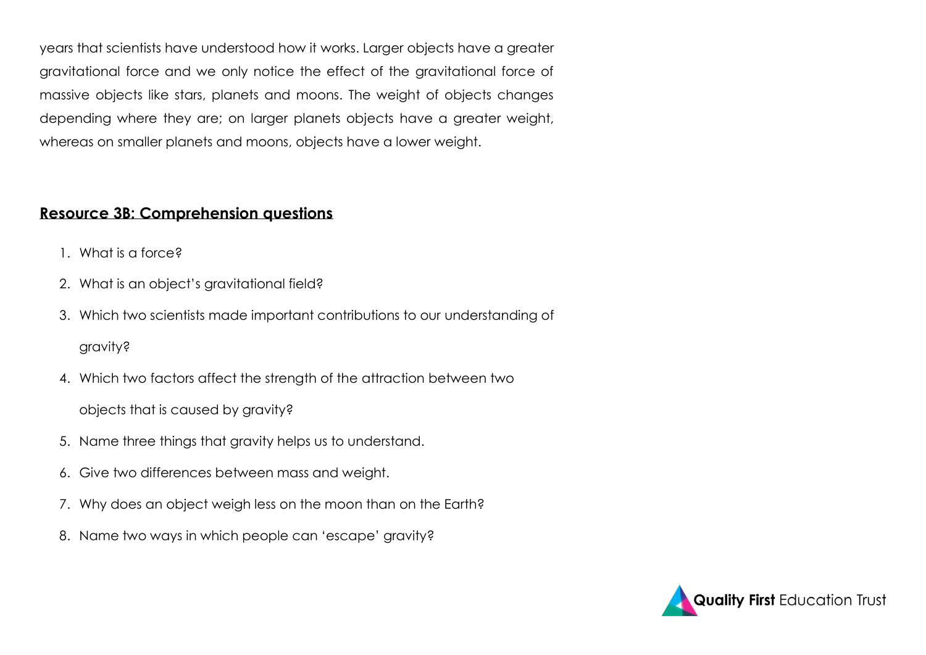years that scientists have understood how it works. Larger objects have a greater gravitational force and we only notice the effect of the gravitational force of massive objects like stars, planets and moons. The weight of objects changes depending where they are; on larger planets objects have a greater weight, whereas on smaller planets and moons, objects have a lower weight.

## **Resource 3B: Comprehension questions**

- 1. What is a force?
- 2. What is an object's gravitational field?
- 3. Which two scientists made important contributions to our understanding of gravity?
- 4. Which two factors affect the strength of the attraction between two objects that is caused by gravity?
- 5. Name three things that gravity helps us to understand.
- 6. Give two differences between mass and weight.
- 7. Why does an object weigh less on the moon than on the Earth?
- 8. Name two ways in which people can 'escape' gravity?

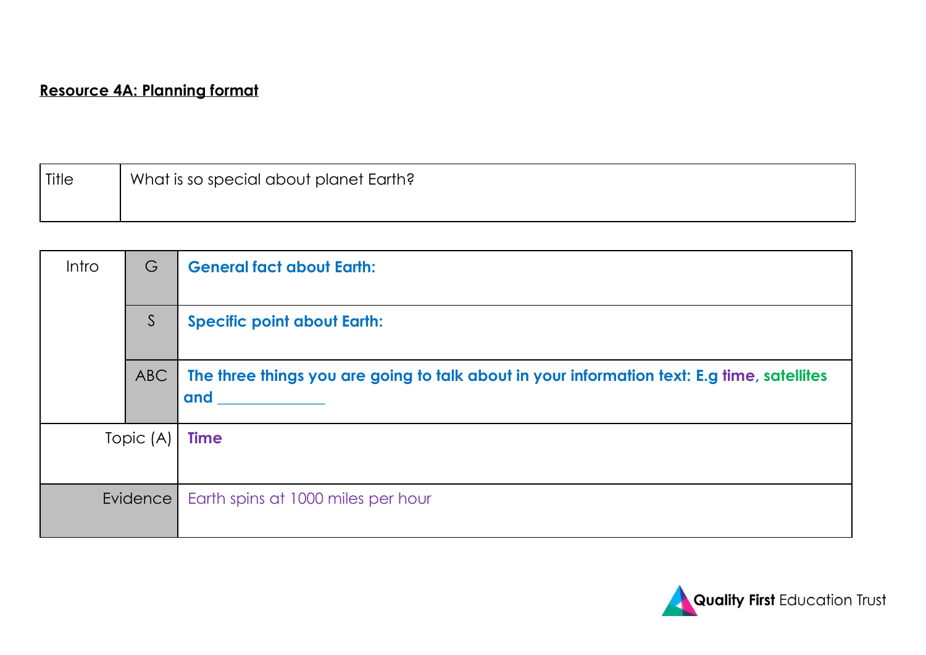# **Resource 4A: Planning format**

| ' Title | What is so special about planet Earth? |
|---------|----------------------------------------|
|         |                                        |

| <b>Intro</b> | G   | <b>General fact about Earth:</b>                                                                   |
|--------------|-----|----------------------------------------------------------------------------------------------------|
|              | S   | <b>Specific point about Earth:</b>                                                                 |
|              | ABC | The three things you are going to talk about in your information text: E.g time, satellites<br>and |
| Topic (A)    |     | <b>Time</b>                                                                                        |
| Evidence     |     | Earth spins at 1000 miles per hour                                                                 |

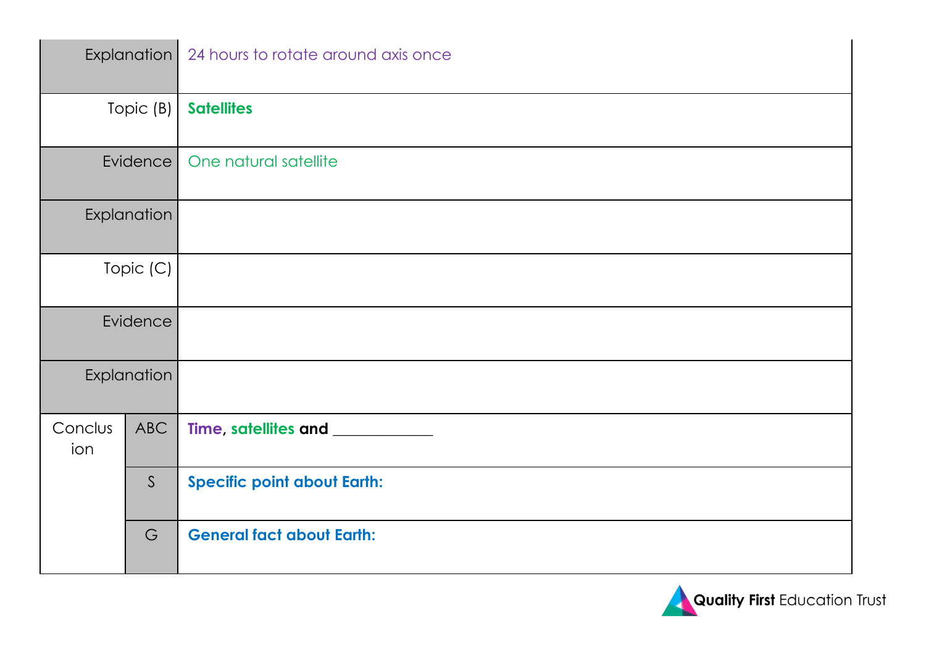|                 | Explanation  | 24 hours to rotate around axis once |
|-----------------|--------------|-------------------------------------|
| Topic (B)       |              | <b>Satellites</b>                   |
| <b>Evidence</b> |              | One natural satellite               |
| Explanation     |              |                                     |
| Topic (C)       |              |                                     |
| Evidence        |              |                                     |
| Explanation     |              |                                     |
| Conclus<br>ion  | <b>ABC</b>   | Time, satellites and ____________   |
|                 | $\mathsf{S}$ | <b>Specific point about Earth:</b>  |
|                 | G            | <b>General fact about Earth:</b>    |